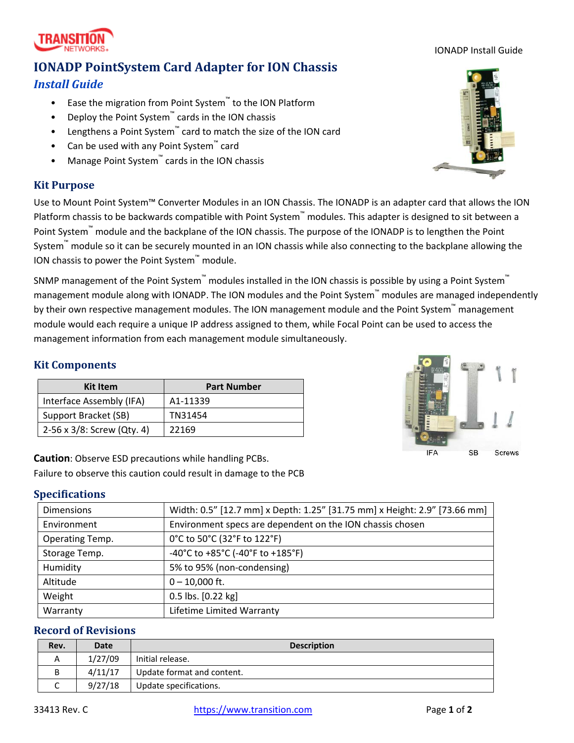33413 Rev. C https://www.transition.com Page **1** of **2**

**Caution**: Observe ESD precautions while handling PCBs. Failure to observe this caution could result in damage to the PCB

## **Specifications**

| <b>Dimensions</b> | Width: 0.5" [12.7 mm] x Depth: 1.25" [31.75 mm] x Height: 2.9" [73.66 mm] |  |
|-------------------|---------------------------------------------------------------------------|--|
| Environment       | Environment specs are dependent on the ION chassis chosen                 |  |
| Operating Temp.   | 0°C to 50°C (32°F to 122°F)                                               |  |
| Storage Temp.     | -40°C to +85°C (-40°F to +185°F)                                          |  |
| Humidity          | 5% to 95% (non-condensing)                                                |  |
| Altitude          | $0 - 10,000$ ft.                                                          |  |
| Weight            | 0.5 lbs. [0.22 kg]                                                        |  |
| Warranty          | Lifetime Limited Warranty                                                 |  |

## **Record of Revisions**

| Rev. | <b>Date</b> | <b>Description</b>         |  |
|------|-------------|----------------------------|--|
| Α    | 1/27/09     | Initial release.           |  |
| В    | 4/11/17     | Update format and content. |  |
| ֊    | 9/27/18     | Update specifications.     |  |

# **IONADP PointSystem Card Adapter for ION Chassis**

## *Install Guide*

- Ease the migration from Point System™ to the ION Platform
- Deploy the Point System™ cards in the ION chassis
- Lengthens a Point System™ card to match the size of the ION card
- Can be used with any Point System™ card
- Manage Point System™ cards in the ION chassis

## **Kit Purpose**

Use to Mount Point System™ Converter Modules in an ION Chassis. The IONADP is an adapter card that allows the ION Platform chassis to be backwards compatible with Point System™ modules. This adapter is designed to sit between a Point System™ module and the backplane of the ION chassis. The purpose of the IONADP is to lengthen the Point System™ module so it can be securely mounted in an ION chassis while also connecting to the backplane allowing the ION chassis to power the Point System™ module.

SNMP management of the Point System™ modules installed in the ION chassis is possible by using a Point System™ management module along with IONADP. The ION modules and the Point System™ modules are managed independently by their own respective management modules. The ION management module and the Point System™ management module would each require a unique IP address assigned to them, while Focal Point can be used to access the management information from each management module simultaneously.

## **Kit Components**

| <b>Kit Item</b>            | <b>Part Number</b> |
|----------------------------|--------------------|
| Interface Assembly (IFA)   | A1-11339           |
| Support Bracket (SB)       | TN31454            |
| 2-56 x 3/8: Screw (Qty. 4) | 22169              |